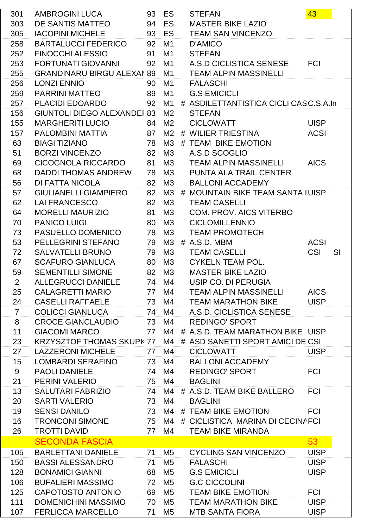| 301            | AMBROGINI LUCA                     |                 | 93 ES          | <b>STEFAN</b>                         | 43          |    |
|----------------|------------------------------------|-----------------|----------------|---------------------------------------|-------------|----|
| 303            | DE SANTIS MATTEO                   |                 | 94 ES          | <b>MASTER BIKE LAZIO</b>              |             |    |
| 305            | <b>IACOPINI MICHELE</b>            |                 | 93 ES          | <b>TEAM SAN VINCENZO</b>              |             |    |
| 258            | <b>BARTALUCCI FEDERICO</b>         | 92              | M <sub>1</sub> | <b>D'AMICO</b>                        |             |    |
| 252            | <b>FINOCCHI ALESSIO</b>            | 91              | M1             | <b>STEFAN</b>                         |             |    |
| 253            | FORTUNATI GIOVANNI                 | 92              | M1             | A.S.D CICLISTICA SENESE FCI           |             |    |
| 255            | <b>GRANDINARU BIRGU ALEXAI 89</b>  |                 | M1             | <b>TEAM ALPIN MASSINELLI</b>          |             |    |
| 256            | <b>LONZI ENNIO</b>                 | 90 <sup>1</sup> | M1             | <b>FALASCHI</b>                       |             |    |
| 259            | PARRINI MATTEO                     | 89 <sup>1</sup> | M <sub>1</sub> | <b>G.S EMICICLI</b>                   |             |    |
| 257            | PLACIDI EDOARDO                    | 92              | M1             | # ASDILETTANTISTICA CICLI CASC.S.A.In |             |    |
| 156            | <b>GIUNTOLI DIEGO ALEXANDEI 83</b> |                 | M <sub>2</sub> | <b>STEFAN</b>                         |             |    |
| 155            | <b>MARGHERITI LUCIO</b>            | 84 <sup>°</sup> | M <sub>2</sub> | <b>CICLOWATT</b>                      | <b>UISP</b> |    |
| 157            | PALOMBINI MATTIA                   | 87              | M <sub>2</sub> | # WILIER TRIESTINA                    | <b>ACSI</b> |    |
| 63             | <b>BIAGI TIZIANO</b>               | 78              | M <sub>3</sub> | # TEAM BIKE EMOTION                   |             |    |
| 51             | <b>BORZI VINCENZO</b>              | 82 <sup>°</sup> | M3             | A.S.D SCOGLIO                         |             |    |
| 69             | CICOGNOLA RICCARDO                 | 81              | M3             | <b>TEAM ALPIN MASSINELLI</b>          | <b>AICS</b> |    |
| 68             | <b>DADDI THOMAS ANDREW</b>         | 78              | M3             | PUNTA ALA TRAIL CENTER                |             |    |
| 56             | DI FATTA NICOLA                    | 82 <sup>1</sup> | M3             | <b>BALLONI ACCADEMY</b>               |             |    |
| 57             | <b>GIULIANELLI GIAMPIERO</b>       | 82 <sup>1</sup> | M3             | # MOUNTAIN BIKE TEAM SANTA IUISP      |             |    |
| 62             | <b>LAI FRANCESCO</b>               | 82 <sup>1</sup> | M3             | <b>TEAM CASELLI</b>                   |             |    |
| 64             | <b>MORELLI MAURIZIO</b>            | 81              | M <sub>3</sub> | <b>COM. PROV. AICS VITERBO</b>        |             |    |
| 70             | <b>PANICO LUIGI</b>                | 80 <sup>1</sup> | M3             | <b>CICLOMILLENNIO</b>                 |             |    |
| 73             | PASUELLO DOMENICO                  | 78              | M3             | <b>TEAM PROMOTECH</b>                 |             |    |
| 53             | PELLEGRINI STEFANO                 | 79              | M3             | # A.S.D. MBM                          | <b>ACSI</b> |    |
| 72             | <b>SALVATELLI BRUNO</b>            | 79              | M3             | <b>TEAM CASELLI</b>                   | <b>CSI</b>  | SI |
| 67             | <b>SCAFURO GIANLUCA</b>            | 80 <sup>1</sup> | M3             | <b>CYKELN TEAM POL.</b>               |             |    |
| 59             | <b>SEMENTILLI SIMONE</b>           | 82 <sup>1</sup> | M3             | <b>MASTER BIKE LAZIO</b>              |             |    |
| $\overline{2}$ | <b>ALLEGRUCCI DANIELE</b>          |                 | 74 M4          | USIP CO. DI PERUGIA                   |             |    |
| 25             | <b>CALAGRETTI MARIO</b>            |                 | 77 M4          | TEAM ALPIN MASSINELLI AICS            |             |    |
| 24             | <b>CASELLI RAFFAELE</b>            |                 | 73 M4          | TEAM MARATHON BIKE                    | <b>UISP</b> |    |
| $\overline{7}$ | <b>COLICCI GIANLUCA</b>            | 74              | M4             | A.S.D. CICLISTICA SENESE              |             |    |
| 8              | <b>CROCE GIANCLAUDIO</b>           | 73              | M4             | <b>REDINGO' SPORT</b>                 |             |    |
| 11             | <b>GIACOMI MARCO</b>               | 77              | M4             | # A.S.D. TEAM MARATHON BIKE UISP      |             |    |
| 23             | <b>KRZYSZTOF THOMAS SKUPK 77</b>   |                 | M4             | # ASD SANETTI SPORT AMICI DE CSI      |             |    |
| 27             | <b>LAZZERONI MICHELE</b>           | 77              | M4             | <b>CICLOWATT</b>                      | <b>UISP</b> |    |
| 15             | LOMBARDI SERAFINO                  | 73              | M4             | <b>BALLONI ACCADEMY</b>               |             |    |
| 9              | <b>PAOLI DANIELE</b>               | 74              | M4             | <b>REDINGO' SPORT</b>                 | <b>FCI</b>  |    |
| 21             | PERINI VALERIO                     | 75              | M4             | <b>BAGLINI</b>                        |             |    |
| 13             | <b>SALUTARI FABRIZIO</b>           |                 | 74 M4          | # A.S.D. TEAM BIKE BALLERO            | <b>FCI</b>  |    |
| 20             | <b>SARTI VALERIO</b>               |                 | 73 M4          | <b>BAGLINI</b>                        |             |    |
| 19             | <b>SENSI DANILO</b>                | 73              | M4             | # TEAM BIKE EMOTION                   | <b>FCI</b>  |    |
| 16             | <b>TRONCONI SIMONE</b>             |                 | 75 M4          | # CICLISTICA MARINA DI CECINAFCI      |             |    |
| 26             | <b>TROTTI DAVID</b>                | 77 <sup>1</sup> | M4             | <b>TEAM BIKE MIRANDA</b>              |             |    |
|                | <b>SECONDA FASCIA</b>              |                 |                |                                       | 53          |    |
| 105            | <b>BARLETTANI DANIELE</b>          | 71              | M5             | <b>CYCLING SAN VINCENZO</b>           | <b>UISP</b> |    |
| 150            | <b>BASSI ALESSANDRO</b>            | 71              | M5             | <b>FALASCHI</b>                       | <b>UISP</b> |    |
| 128            | <b>BONAMICI GIANNI</b>             | 68 <sup>1</sup> | M <sub>5</sub> | <b>G.S EMICICLI</b>                   | <b>UISP</b> |    |
| 106            | <b>BUFALIERI MASSIMO</b>           | 72              | M5             | <b>G.C CICCOLINI</b>                  |             |    |
| 125            | CAPOTOSTO ANTONIO                  | 69              | M <sub>5</sub> | <b>TEAM BIKE EMOTION</b>              | <b>FCI</b>  |    |
| 111            | DOMENICHINI MASSIMO                | 70              | M5             | <b>TEAM MARATHON BIKE</b>             | <b>UISP</b> |    |
| 107            | <b>FERLICCA MARCELLO</b>           | 71              | M <sub>5</sub> | <b>MTB SANTA FIORA</b>                | <b>UISP</b> |    |
|                |                                    |                 |                |                                       |             |    |